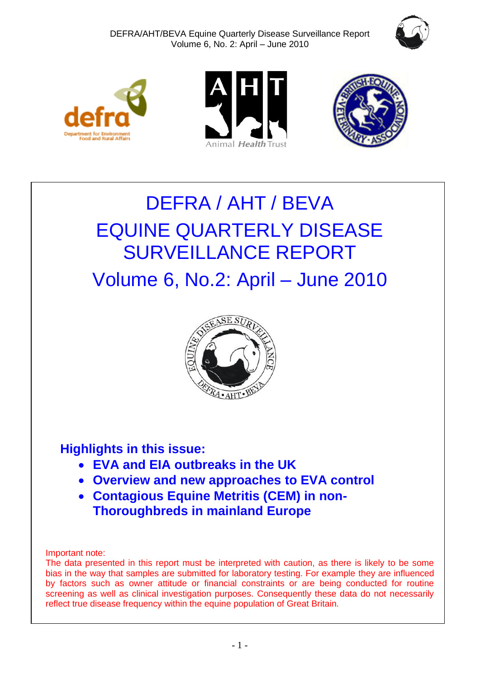







# DEFRA / AHT / BEVA EQUINE QUARTERLY DISEASE SURVEILLANCE REPORT Volume 6, No.2: April – June 2010



# **Highlights in this issue:**

- **EVA and EIA outbreaks in the UK**
- **Overview and new approaches to EVA control**
- **Contagious Equine Metritis (CEM) in non-Thoroughbreds in mainland Europe**

Important note:

The data presented in this report must be interpreted with caution, as there is likely to be some bias in the way that samples are submitted for laboratory testing. For example they are influenced by factors such as owner attitude or financial constraints or are being conducted for routine screening as well as clinical investigation purposes. Consequently these data do not necessarily reflect true disease frequency within the equine population of Great Britain.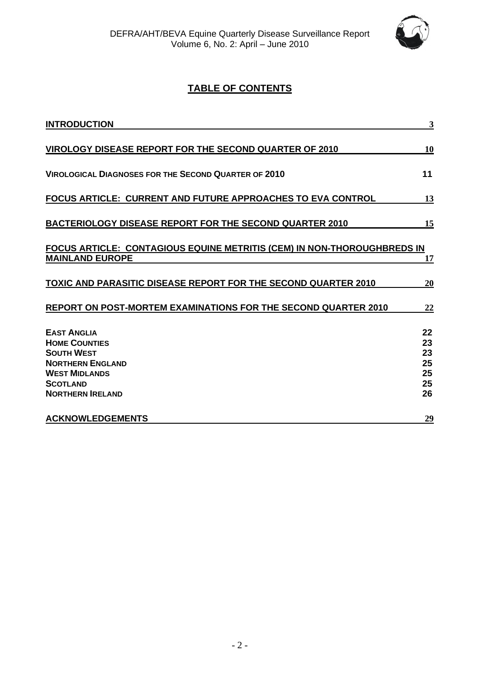

# **TABLE OF CONTENTS**

| <b>INTRODUCTION</b>                                                                                                                                              | 3                                      |
|------------------------------------------------------------------------------------------------------------------------------------------------------------------|----------------------------------------|
| VIROLOGY DISEASE REPORT FOR THE SECOND QUARTER OF 2010                                                                                                           | 10                                     |
| <b>VIROLOGICAL DIAGNOSES FOR THE SECOND QUARTER OF 2010</b>                                                                                                      | 11                                     |
| <b>FOCUS ARTICLE: CURRENT AND FUTURE APPROACHES TO EVA CONTROL</b>                                                                                               | 13                                     |
| <b>BACTERIOLOGY DISEASE REPORT FOR THE SECOND QUARTER 2010</b>                                                                                                   | 15                                     |
| FOCUS ARTICLE: CONTAGIOUS EQUINE METRITIS (CEM) IN NON-THOROUGHBREDS IN<br><b>MAINLAND EUROPE</b>                                                                | 17                                     |
| <b>TOXIC AND PARASITIC DISEASE REPORT FOR THE SECOND QUARTER 2010</b>                                                                                            | 20                                     |
| <b>REPORT ON POST-MORTEM EXAMINATIONS FOR THE SECOND QUARTER 2010</b>                                                                                            | <u>22</u>                              |
| <b>EAST ANGLIA</b><br><b>HOME COUNTIES</b><br><b>SOUTH WEST</b><br><b>NORTHERN ENGLAND</b><br><b>WEST MIDLANDS</b><br><b>SCOTLAND</b><br><b>NORTHERN IRELAND</b> | 22<br>23<br>23<br>25<br>25<br>25<br>26 |
| <b>ACKNOWLEDGEMENTS</b>                                                                                                                                          | 29                                     |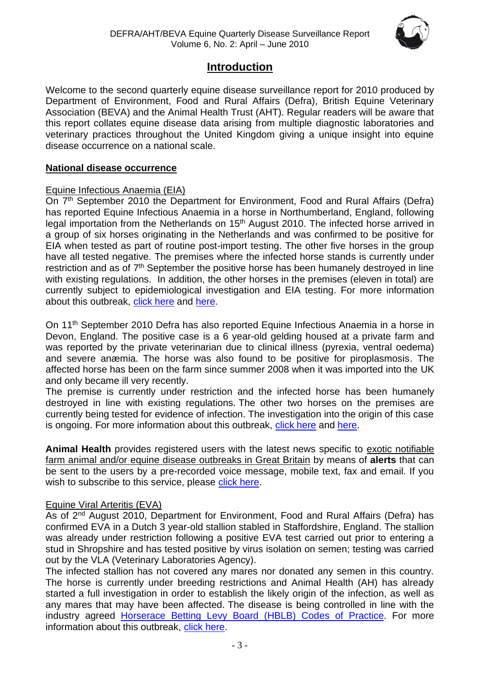

# **Introduction**

<span id="page-2-0"></span>Welcome to the second quarterly equine disease surveillance report for 2010 produced by Department of Environment, Food and Rural Affairs (Defra), British Equine Veterinary Association (BEVA) and the Animal Health Trust (AHT). Regular readers will be aware that this report collates equine disease data arising from multiple diagnostic laboratories and veterinary practices throughout the United Kingdom giving a unique insight into equine disease occurrence on a national scale.

### **National disease occurrence**

# Equine Infectious Anaemia (EIA)

On 7<sup>th</sup> September 2010 the Department for Environment, Food and Rural Affairs (Defra) has reported Equine Infectious Anaemia in a horse in Northumberland, England, following legal importation from the Netherlands on 15<sup>th</sup> August 2010. The infected horse arrived in a group of six horses originating in the Netherlands and was confirmed to be positive for EIA when tested as part of routine post-import testing. The other five horses in the group have all tested negative. The premises where the infected horse stands is currently under restriction and as of  $7<sup>th</sup>$  September the positive horse has been humanely destroyed in line with existing regulations. In addition, the other horses in the premises (eleven in total) are currently subject to epidemiological investigation and EIA testing. For more information about this outbreak, [click here](http://www.defra.gov.uk/foodfarm/farmanimal/diseases/atoz/eia/latest/index.htm) and [here.](http://www.oie.int/wahis/public.php?page=single_report&pop=1&reportid=9682)

On 11<sup>th</sup> September 2010 Defra has also reported Equine Infectious Anaemia in a horse in Devon, England. The positive case is a 6 year-old gelding housed at a private farm and was reported by the private veterinarian due to clinical illness (pyrexia, ventral oedema) and severe anæmia. The horse was also found to be positive for piroplasmosis. The affected horse has been on the farm since summer 2008 when it was imported into the UK and only became ill very recently.

The premise is currently under restriction and the infected horse has been humanely destroyed in line with existing regulations. The other two horses on the premises are currently being tested for evidence of infection. The investigation into the origin of this case is ongoing. For more information about this outbreak, [click here](http://www.oie.int/wahis/public.php?page=single_report&pop=1&reportid=9706) and [here.](http://ww2.defra.gov.uk/2010/09/11/eia-news2/)

**Animal Health** provides registered users with the latest news specific to exotic notifiable farm animal and/or equine disease outbreaks in Great Britain by means of **alerts** that can be sent to the users by a pre-recorded voice message, mobile text, fax and email. If you wish to subscribe to this service, please [click here.](http://animalhealth.system-message.co.uk/AH_subscribe_index.php)

### Equine Viral Arteritis (EVA)

As of 2<sup>nd</sup> August 2010, Department for Environment, Food and Rural Affairs (Defra) has confirmed EVA in a Dutch 3 year-old stallion stabled in Staffordshire, England. The stallion was already under restriction following a positive EVA test carried out prior to entering a stud in Shropshire and has tested positive by virus isolation on semen; testing was carried out by the VLA (Veterinary Laboratories Agency).

The infected stallion has not covered any mares nor donated any semen in this country. The horse is currently under breeding restrictions and Animal Health (AH) has already started a full investigation in order to establish the likely origin of the infection, as well as any mares that may have been affected. The disease is being controlled in line with the industry agreed [Horserace Betting Levy Board \(HBLB\) Codes of Practice.](http://www.hblb.org.uk/document.php?id=43) For more information about this outbreak, [click here.](http://www.defra.gov.uk/foodfarm/farmanimal/diseases/atoz/eva/#latestsituation)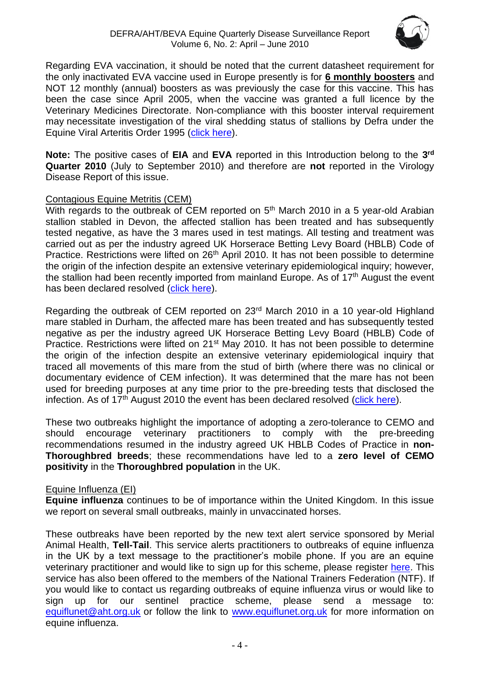

Regarding EVA vaccination, it should be noted that the current datasheet requirement for the only inactivated EVA vaccine used in Europe presently is for **6 monthly boosters** and NOT 12 monthly (annual) boosters as was previously the case for this vaccine. This has been the case since April 2005, when the vaccine was granted a full licence by the Veterinary Medicines Directorate. Non-compliance with this booster interval requirement may necessitate investigation of the viral shedding status of stallions by Defra under the Equine Viral Arteritis Order 1995 [\(click here\)](http://www.legislation.gov.uk/uksi/1995/1755/contents/made).

**Note:** The positive cases of **EIA** and **EVA** reported in this Introduction belong to the **3 rd Quarter 2010** (July to September 2010) and therefore are **not** reported in the Virology Disease Report of this issue.

# Contagious Equine Metritis (CEM)

With regards to the outbreak of CEM reported on 5<sup>th</sup> March 2010 in a 5 year-old Arabian stallion stabled in Devon, the affected stallion has been treated and has subsequently tested negative, as have the 3 mares used in test matings. All testing and treatment was carried out as per the industry agreed UK Horserace Betting Levy Board (HBLB) Code of Practice. Restrictions were lifted on 26<sup>th</sup> April 2010. It has not been possible to determine the origin of the infection despite an extensive veterinary epidemiological inquiry; however, the stallion had been recently imported from mainland Europe. As of 17th August the event has been declared resolved [\(click here\)](http://www.oie.int/wahis/public.php?page=single_report&pop=1&reportid=9610).

Regarding the outbreak of CEM reported on 23rd March 2010 in a 10 year-old Highland mare stabled in Durham, the affected mare has been treated and has subsequently tested negative as per the industry agreed UK Horserace Betting Levy Board (HBLB) Code of Practice. Restrictions were lifted on 21<sup>st</sup> May 2010. It has not been possible to determine the origin of the infection despite an extensive veterinary epidemiological inquiry that traced all movements of this mare from the stud of birth (where there was no clinical or documentary evidence of CEM infection). It was determined that the mare has not been used for breeding purposes at any time prior to the pre-breeding tests that disclosed the infection. As of  $17<sup>th</sup>$  August 2010 the event has been declared resolved [\(click here\)](http://www.oie.int/wahis/public.php?page=single_report&pop=1&reportid=9611).

These two outbreaks highlight the importance of adopting a zero-tolerance to CEMO and should encourage veterinary practitioners to comply with the pre-breeding recommendations resumed in the industry agreed UK HBLB Codes of Practice in **non-Thoroughbred breeds**; these recommendations have led to a **zero level of CEMO positivity** in the **Thoroughbred population** in the UK.

### Equine Influenza (EI)

**Equine influenza** continues to be of importance within the United Kingdom. In this issue we report on several small outbreaks, mainly in unvaccinated horses.

These outbreaks have been reported by the new text alert service sponsored by Merial Animal Health, **Tell-Tail**. This service alerts practitioners to outbreaks of equine influenza in the UK by a text message to the practitioner's mobile phone. If you are an equine veterinary practitioner and would like to sign up for this scheme, please register [here.](http://www.merial.co.uk/) This service has also been offered to the members of the National Trainers Federation (NTF). If you would like to contact us regarding outbreaks of equine influenza virus or would like to sign up for our sentinel practice scheme, please send a message to: [equiflunet@aht.org.uk](mailto:equiflunet@aht.org.uk) or follow the link to [www.equiflunet.org.uk](http://www.equiflunet.org.uk/) for more information on equine influenza.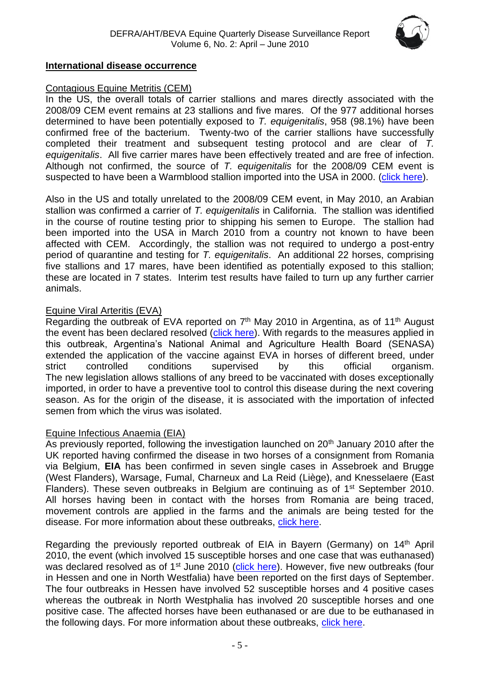

#### **International disease occurrence**

#### Contagious Equine Metritis (CEM)

In the US, the overall totals of carrier stallions and mares directly associated with the 2008/09 CEM event remains at 23 stallions and five mares. Of the 977 additional horses determined to have been potentially exposed to *T. equigenitalis*, 958 (98.1%) have been confirmed free of the bacterium. Twenty-two of the carrier stallions have successfully completed their treatment and subsequent testing protocol and are clear of *T. equigenitalis*. All five carrier mares have been effectively treated and are free of infection. Although not confirmed, the source of *T. equigenitalis* for the 2008/09 CEM event is suspected to have been a Warmblood stallion imported into the USA in 2000. [\(click here\)](http://www.oie.int/wahis/public.php?page=single_report&pop=1&reportid=8550).

Also in the US and totally unrelated to the 2008/09 CEM event, in May 2010, an Arabian stallion was confirmed a carrier of *T. equigenitalis* in California. The stallion was identified in the course of routine testing prior to shipping his semen to Europe. The stallion had been imported into the USA in March 2010 from a country not known to have been affected with CEM. Accordingly, the stallion was not required to undergo a post-entry period of quarantine and testing for *T. equigenitalis*. An additional 22 horses, comprising five stallions and 17 mares, have been identified as potentially exposed to this stallion; these are located in 7 states. Interim test results have failed to turn up any further carrier animals.

### Equine Viral Arteritis (EVA)

Regarding the outbreak of EVA reported on 7<sup>th</sup> May 2010 in Argentina, as of 11<sup>th</sup> August the event has been declared resolved [\(click here\)](http://www.oie.int/wahis/public.php?page=single_report&pop=1&reportid=9623). With regards to the measures applied in this outbreak, Argentina's National Animal and Agriculture Health Board (SENASA) extended the application of the vaccine against EVA in horses of different breed, under strict controlled conditions supervised by this official organism. The new legislation allows stallions of any breed to be vaccinated with doses exceptionally imported, in order to have a preventive tool to control this disease during the next covering season. As for the origin of the disease, it is associated with the importation of infected semen from which the virus was isolated.

#### Equine Infectious Anaemia (EIA)

As previously reported, following the investigation launched on 20<sup>th</sup> January 2010 after the UK reported having confirmed the disease in two horses of a consignment from Romania via Belgium, **EIA** has been confirmed in seven single cases in Assebroek and Brugge (West Flanders), Warsage, Fumal, Charneux and La Reid (Liège), and Knesselaere (East Flanders). These seven outbreaks in Belgium are continuing as of 1<sup>st</sup> September 2010. All horses having been in contact with the horses from Romania are being traced, movement controls are applied in the farms and the animals are being tested for the disease. For more information about these outbreaks, [click here.](http://www.oie.int/wahis/public.php?page=single_report&pop=1&reportid=8917)

Regarding the previously reported outbreak of EIA in Bayern (Germany) on 14<sup>th</sup> April 2010, the event (which involved 15 susceptible horses and one case that was euthanased) was declared resolved as of  $1<sup>st</sup>$  June 2010 [\(click here\)](http://www.oie.int/wahis/public.php?page=single_report&pop=1&reportid=9450). However, five new outbreaks (four in Hessen and one in North Westfalia) have been reported on the first days of September. The four outbreaks in Hessen have involved 52 susceptible horses and 4 positive cases whereas the outbreak in North Westphalia has involved 20 susceptible horses and one positive case. The affected horses have been euthanased or are due to be euthanased in the following days. For more information about these outbreaks, [click here.](http://www.oie.int/wahis/public.php?page=single_report&pop=1&reportid=9450)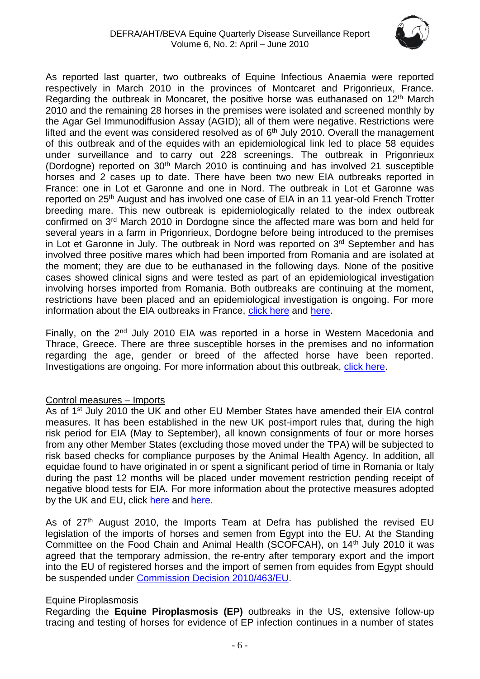

As reported last quarter, two outbreaks of Equine Infectious Anaemia were reported respectively in March 2010 in the provinces of Montcaret and Prigonrieux, France. Regarding the outbreak in Moncaret, the positive horse was euthanased on  $12<sup>th</sup>$  March 2010 and the remaining 28 horses in the premises were isolated and screened monthly by the Agar Gel Immunodiffusion Assay (AGID); all of them were negative. Restrictions were lifted and the event was considered resolved as of  $6<sup>th</sup>$  July 2010. Overall the management of this outbreak and of the equides with an epidemiological link led to place 58 equides under surveillance and to carry out 228 screenings. The outbreak in Prigonrieux (Dordogne) reported on 30th March 2010 is continuing and has involved 21 susceptible horses and 2 cases up to date. There have been two new EIA outbreaks reported in France: one in Lot et Garonne and one in Nord. The outbreak in Lot et Garonne was reported on 25<sup>th</sup> August and has involved one case of EIA in an 11 year-old French Trotter breeding mare. This new outbreak is epidemiologically related to the index outbreak confirmed on 3rd March 2010 in Dordogne since the affected mare was born and held for several years in a farm in Prigonrieux, Dordogne before being introduced to the premises in Lot et Garonne in July. The outbreak in Nord was reported on 3<sup>rd</sup> September and has involved three positive mares which had been imported from Romania and are isolated at the moment; they are due to be euthanased in the following days. None of the positive cases showed clinical signs and were tested as part of an epidemiological investigation involving horses imported from Romania. Both outbreaks are continuing at the moment, restrictions have been placed and an epidemiological investigation is ongoing. For more information about the EIA outbreaks in France, [click here](http://www.oie.int/wahis/public.php?page=single_report&pop=1&reportid=9665) and [here.](http://www.respe.net/alerteall)

Finally, on the 2<sup>nd</sup> July 2010 EIA was reported in a horse in Western Macedonia and Thrace, Greece. There are three susceptible horses in the premises and no information regarding the age, gender or breed of the affected horse have been reported. Investigations are ongoing. For more information about this outbreak, [click here.](http://www.oie.int/wahis/public.php?page=single_report&pop=1&reportid=9495)

# Control measures – Imports

As of 1<sup>st</sup> July 2010 the UK and other EU Member States have amended their EIA control measures. It has been established in the new UK post-import rules that, during the high risk period for EIA (May to September), all known consignments of four or more horses from any other Member States (excluding those moved under the TPA) will be subjected to risk based checks for compliance purposes by the Animal Health Agency. In addition, all equidae found to have originated in or spent a significant period of time in Romania or Italy during the past 12 months will be placed under movement restriction pending receipt of negative blood tests for EIA. For more information about the protective measures adopted by the UK and EU, click [here](http://www.beva.org.uk/news/view/36) and [here.](http://eur-lex.europa.eu/LexUriServ/LexUriServ.do?uri=OJ:L:2010:155:0048:0053:EN:PDF)

As of  $27<sup>th</sup>$  August 2010, the Imports Team at Defra has published the revised EU legislation of the imports of horses and semen from Egypt into the EU. At the Standing Committee on the Food Chain and Animal Health (SCOFCAH), on 14<sup>th</sup> July 2010 it was agreed that the temporary admission, the re-entry after temporary export and the import into the EU of registered horses and the import of semen from equides from Egypt should be suspended under [Commission Decision 2010/463/EU.](http://eur-lex.europa.eu/LexUriServ/LexUriServ.do?uri=OJ:L:2010:220:0074:0075:EN:PDF)

### Equine Piroplasmosis

Regarding the **Equine Piroplasmosis (EP)** outbreaks in the US, extensive follow-up tracing and testing of horses for evidence of EP infection continues in a number of states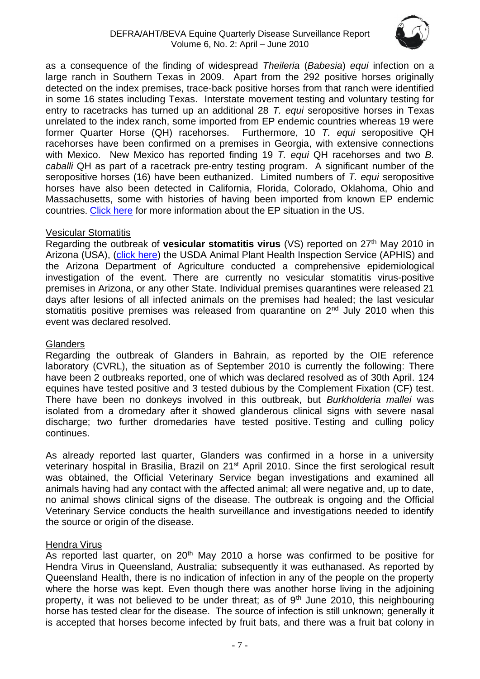

as a consequence of the finding of widespread *Theileria* (*Babesia*) *equi* infection on a large ranch in Southern Texas in 2009. Apart from the 292 positive horses originally detected on the index premises, trace-back positive horses from that ranch were identified in some 16 states including Texas. Interstate movement testing and voluntary testing for entry to racetracks has turned up an additional 28 *T. equi* seropositive horses in Texas unrelated to the index ranch, some imported from EP endemic countries whereas 19 were former Quarter Horse (QH) racehorses. Furthermore, 10 *T. equi* seropositive QH racehorses have been confirmed on a premises in Georgia, with extensive connections with Mexico. New Mexico has reported finding 19 *T. equi* QH racehorses and two *B. caballi* QH as part of a racetrack pre-entry testing program. A significant number of the seropositive horses (16) have been euthanized. Limited numbers of *T. equi* seropositive horses have also been detected in California, Florida, Colorado, Oklahoma, Ohio and Massachusetts, some with histories of having been imported from known EP endemic countries. [Click here](http://www.oie.int/wahis/public.php?page=disease_immediate_summary&disease_type=Terrestrial&disease_id=61) for more information about the EP situation in the US.

#### Vesicular Stomatitis

Regarding the outbreak of **vesicular stomatitis virus** (VS) reported on 27<sup>th</sup> May 2010 in Arizona (USA), [\(click here\)](http://www.oie.int/wahis/public.php?page=single_report&pop=1&reportid=9471) the USDA Animal Plant Health Inspection Service (APHIS) and the Arizona Department of Agriculture conducted a comprehensive epidemiological investigation of the event. There are currently no vesicular stomatitis virus-positive premises in Arizona, or any other State. Individual premises quarantines were released 21 days after lesions of all infected animals on the premises had healed; the last vesicular stomatitis positive premises was released from quarantine on  $2<sup>nd</sup>$  July 2010 when this event was declared resolved.

#### **Glanders**

Regarding the outbreak of Glanders in Bahrain, as reported by the OIE reference laboratory (CVRL), the situation as of September 2010 is currently the following: There have been 2 outbreaks reported, one of which was declared resolved as of 30th April. 124 equines have tested positive and 3 tested dubious by the Complement Fixation (CF) test. There have been no donkeys involved in this outbreak, but *Burkholderia mallei* was isolated from a dromedary after it showed glanderous clinical signs with severe nasal discharge; two further dromedaries have tested positive. Testing and culling policy continues.

As already reported last quarter, Glanders was confirmed in a horse in a university veterinary hospital in Brasilia, Brazil on 21<sup>st</sup> April 2010. Since the first serological result was obtained, the Official Veterinary Service began investigations and examined all animals having had any contact with the affected animal; all were negative and, up to date, no animal shows clinical signs of the disease. The outbreak is ongoing and the Official Veterinary Service conducts the health surveillance and investigations needed to identify the source or origin of the disease.

### Hendra Virus

As reported last quarter, on  $20<sup>th</sup>$  May 2010 a horse was confirmed to be positive for Hendra Virus in Queensland, Australia; subsequently it was euthanased. As reported by Queensland Health, there is no indication of infection in any of the people on the property where the horse was kept. Even though there was another horse living in the adjoining property, it was not believed to be under threat; as of  $9<sup>th</sup>$  June 2010, this neighbouring horse has tested clear for the disease. The source of infection is still unknown; generally it is accepted that horses become infected by fruit bats, and there was a fruit bat colony in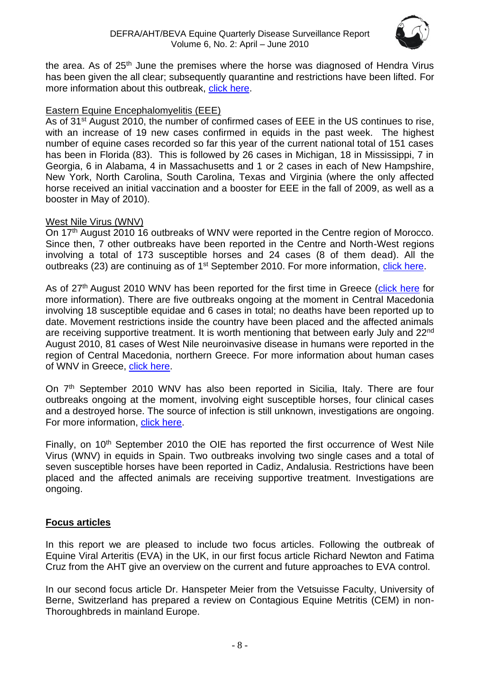

the area. As of  $25<sup>th</sup>$  June the premises where the horse was diagnosed of Hendra Virus has been given the all clear; subsequently quarantine and restrictions have been lifted. For more information about this outbreak, [click here.](http://www.promedmail.org/pls/apex/wwv_flow.accept)

# Eastern Equine Encephalomyelitis (EEE)

As of 31<sup>st</sup> August 2010, the number of confirmed cases of EEE in the US continues to rise, with an increase of 19 new cases confirmed in equids in the past week. The highest number of equine cases recorded so far this year of the current national total of 151 cases has been in Florida (83). This is followed by 26 cases in Michigan, 18 in Mississippi, 7 in Georgia, 6 in Alabama, 4 in Massachusetts and 1 or 2 cases in each of New Hampshire, New York, North Carolina, South Carolina, Texas and Virginia (where the only affected horse received an initial vaccination and a booster for EEE in the fall of 2009, as well as a booster in May of 2010).

### West Nile Virus (WNV)

On 17<sup>th</sup> August 2010 16 outbreaks of WNV were reported in the Centre region of Morocco. Since then, 7 other outbreaks have been reported in the Centre and North-West regions involving a total of 173 susceptible horses and 24 cases (8 of them dead). All the outbreaks (23) are continuing as of 1<sup>st</sup> September 2010. For more information, [click here.](http://www.oie.int/wahis/public.php?page=single_report&pop=1&reportid=9679)

As of 27<sup>th</sup> August 2010 WNV has been reported for the first time in Greece [\(click here](http://www.oie.int/wahis/public.php?page=single_report&pop=1&reportid=9642) for more information). There are five outbreaks ongoing at the moment in Central Macedonia involving 18 susceptible equidae and 6 cases in total; no deaths have been reported up to date. Movement restrictions inside the country have been placed and the affected animals are receiving supportive treatment. It is worth mentioning that between early July and 22<sup>nd</sup> August 2010, 81 cases of West Nile neuroinvasive disease in humans were reported in the region of Central Macedonia, northern Greece. For more information about human cases of WNV in Greece, [click here.](http://www.eurosurveillance.org/ViewArticle.aspx?ArticleId=19644)

On 7<sup>th</sup> September 2010 WNV has also been reported in Sicilia, Italy. There are four outbreaks ongoing at the moment, involving eight susceptible horses, four clinical cases and a destroyed horse. The source of infection is still unknown, investigations are ongoing. For more information, [click here.](http://www.oie.int/wahis/public.php?page=single_report&pop=1&reportid=9680)

Finally, on 10<sup>th</sup> September 2010 the OIE has reported the first occurrence of West Nile Virus (WNV) in equids in Spain. Two outbreaks involving two single cases and a total of seven susceptible horses have been reported in Cadiz, Andalusia. Restrictions have been placed and the affected animals are receiving supportive treatment. Investigations are ongoing.

# **Focus articles**

In this report we are pleased to include two focus articles. Following the outbreak of Equine Viral Arteritis (EVA) in the UK, in our first focus article Richard Newton and Fatima Cruz from the AHT give an overview on the current and future approaches to EVA control.

In our second focus article Dr. Hanspeter Meier from the Vetsuisse Faculty, University of Berne, Switzerland has prepared a review on Contagious Equine Metritis (CEM) in non-Thoroughbreds in mainland Europe.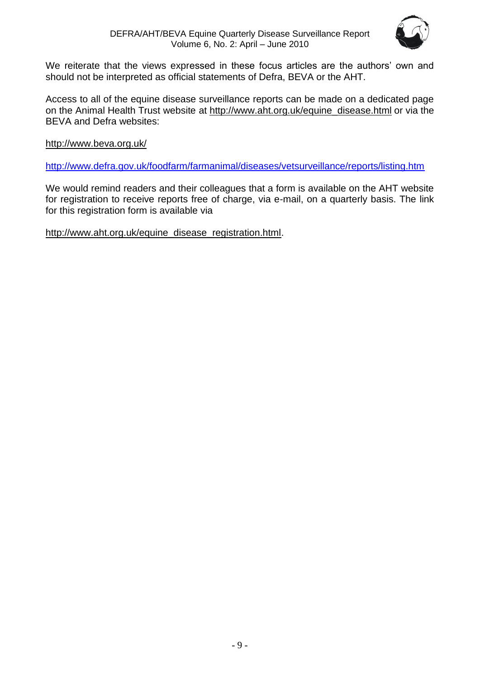

We reiterate that the views expressed in these focus articles are the authors' own and should not be interpreted as official statements of Defra, BEVA or the AHT.

Access to all of the equine disease surveillance reports can be made on a dedicated page on the Animal Health Trust website at [http://www.aht.org.uk/equine\\_disease.html](http://www.aht.org.uk/equine_disease.html) or via the BEVA and Defra websites:

<http://www.beva.org.uk/>

<http://www.defra.gov.uk/foodfarm/farmanimal/diseases/vetsurveillance/reports/listing.htm>

We would remind readers and their colleagues that a form is available on the AHT website for registration to receive reports free of charge, via e-mail, on a quarterly basis. The link for this registration form is available via

[http://www.aht.org.uk/equine\\_disease\\_registration.html.](http://www.aht.org.uk/equine_disease_registration.html)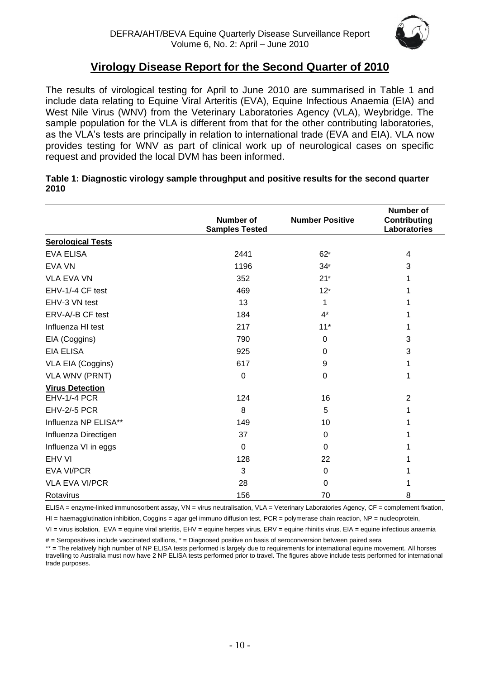

# **Virology Disease Report for the Second Quarter of 2010**

<span id="page-9-0"></span>The results of virological testing for April to June 2010 are summarised in Table 1 and include data relating to Equine Viral Arteritis (EVA), Equine Infectious Anaemia (EIA) and West Nile Virus (WNV) from the Veterinary Laboratories Agency (VLA), Weybridge. The sample population for the VLA is different from that for the other contributing laboratories, as the VLA's tests are principally in relation to international trade (EVA and EIA). VLA now provides testing for WNV as part of clinical work up of neurological cases on specific request and provided the local DVM has been informed.

|                          | <b>Number of</b>      | <b>Number Positive</b> | <b>Number of</b><br><b>Contributing</b> |
|--------------------------|-----------------------|------------------------|-----------------------------------------|
|                          | <b>Samples Tested</b> |                        | <b>Laboratories</b>                     |
| <b>Serological Tests</b> |                       |                        |                                         |
| <b>EVA ELISA</b>         | 2441                  | $62*$                  | 4                                       |
| <b>EVA VN</b>            | 1196                  | $34*$                  | 3                                       |
| <b>VLA EVA VN</b>        | 352                   | $21*$                  | 1                                       |
| EHV-1/-4 CF test         | 469                   | $12*$                  | 1                                       |
| EHV-3 VN test            | 13                    | 1                      | 1                                       |
| ERV-A/-B CF test         | 184                   | $4^*$                  | 1                                       |
| Influenza HI test        | 217                   | $11*$                  | 1                                       |
| EIA (Coggins)            | 790                   | $\Omega$               | 3                                       |
| <b>EIA ELISA</b>         | 925                   | $\Omega$               | 3                                       |
| VLA EIA (Coggins)        | 617                   | 9                      | 1                                       |
| <b>VLA WNV (PRNT)</b>    | 0                     | 0                      | 1                                       |
| <b>Virus Detection</b>   |                       |                        |                                         |
| <b>EHV-1/-4 PCR</b>      | 124                   | 16                     | $\overline{2}$                          |
| <b>EHV-2/-5 PCR</b>      | 8                     | 5                      | 1                                       |
| Influenza NP ELISA**     | 149                   | 10                     |                                         |
| Influenza Directigen     | 37                    | $\Omega$               |                                         |
| Influenza VI in eggs     | $\Omega$              | $\Omega$               |                                         |
| EHV VI                   | 128                   | 22                     |                                         |
| <b>EVA VI/PCR</b>        | 3                     | 0                      |                                         |
| <b>VLA EVA VI/PCR</b>    | 28                    | $\Omega$               |                                         |
| Rotavirus                | 156                   | 70                     | 8                                       |

#### **Table 1: Diagnostic virology sample throughput and positive results for the second quarter 2010**

ELISA = enzyme-linked immunosorbent assay, VN = virus neutralisation, VLA = Veterinary Laboratories Agency, CF = complement fixation,

 $H =$  haemagglutination inhibition, Coggins = agar gel immuno diffusion test, PCR = polymerase chain reaction, NP = nucleoprotein,

VI = virus isolation, EVA = equine viral arteritis, EHV = equine herpes virus, ERV = equine rhinitis virus, EIA = equine infectious anaemia

# = Seropositives include vaccinated stallions, \* = Diagnosed positive on basis of seroconversion between paired sera

\*\* = The relatively high number of NP ELISA tests performed is largely due to requirements for international equine movement. All horses travelling to Australia must now have 2 NP ELISA tests performed prior to travel. The figures above include tests performed for international trade purposes.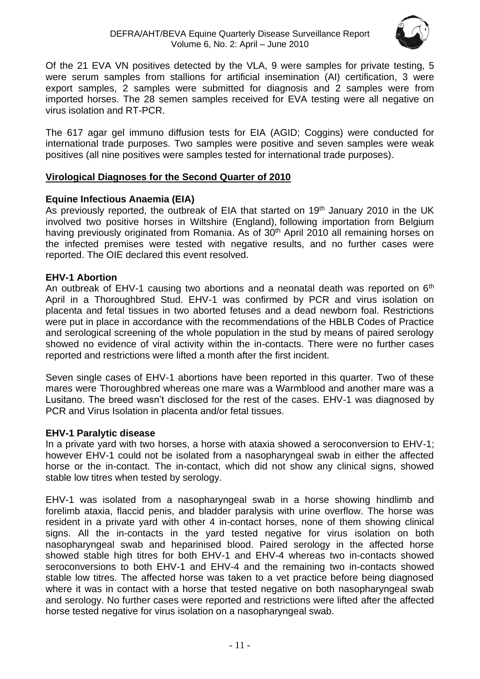

Of the 21 EVA VN positives detected by the VLA, 9 were samples for private testing, 5 were serum samples from stallions for artificial insemination (AI) certification, 3 were export samples, 2 samples were submitted for diagnosis and 2 samples were from imported horses. The 28 semen samples received for EVA testing were all negative on virus isolation and RT-PCR.

The 617 agar gel immuno diffusion tests for EIA (AGID; Coggins) were conducted for international trade purposes. Two samples were positive and seven samples were weak positives (all nine positives were samples tested for international trade purposes).

### <span id="page-10-0"></span>**Virological Diagnoses for the Second Quarter of 2010**

# **Equine Infectious Anaemia (EIA)**

As previously reported, the outbreak of EIA that started on 19<sup>th</sup> January 2010 in the UK involved two positive horses in Wiltshire (England), following importation from Belgium having previously originated from Romania. As of 30<sup>th</sup> April 2010 all remaining horses on the infected premises were tested with negative results, and no further cases were reported. The OIE declared this event resolved.

# **EHV-1 Abortion**

An outbreak of EHV-1 causing two abortions and a neonatal death was reported on 6<sup>th</sup> April in a Thoroughbred Stud. EHV-1 was confirmed by PCR and virus isolation on placenta and fetal tissues in two aborted fetuses and a dead newborn foal. Restrictions were put in place in accordance with the recommendations of the HBLB Codes of Practice and serological screening of the whole population in the stud by means of paired serology showed no evidence of viral activity within the in-contacts. There were no further cases reported and restrictions were lifted a month after the first incident.

Seven single cases of EHV-1 abortions have been reported in this quarter. Two of these mares were Thoroughbred whereas one mare was a Warmblood and another mare was a Lusitano. The breed wasn't disclosed for the rest of the cases. EHV-1 was diagnosed by PCR and Virus Isolation in placenta and/or fetal tissues.

### **EHV-1 Paralytic disease**

In a private yard with two horses, a horse with ataxia showed a seroconversion to EHV-1; however EHV-1 could not be isolated from a nasopharyngeal swab in either the affected horse or the in-contact. The in-contact, which did not show any clinical signs, showed stable low titres when tested by serology.

EHV-1 was isolated from a nasopharyngeal swab in a horse showing hindlimb and forelimb ataxia, flaccid penis, and bladder paralysis with urine overflow. The horse was resident in a private yard with other 4 in-contact horses, none of them showing clinical signs. All the in-contacts in the yard tested negative for virus isolation on both nasopharyngeal swab and heparinised blood. Paired serology in the affected horse showed stable high titres for both EHV-1 and EHV-4 whereas two in-contacts showed seroconversions to both EHV-1 and EHV-4 and the remaining two in-contacts showed stable low titres. The affected horse was taken to a vet practice before being diagnosed where it was in contact with a horse that tested negative on both nasopharyngeal swab and serology. No further cases were reported and restrictions were lifted after the affected horse tested negative for virus isolation on a nasopharyngeal swab.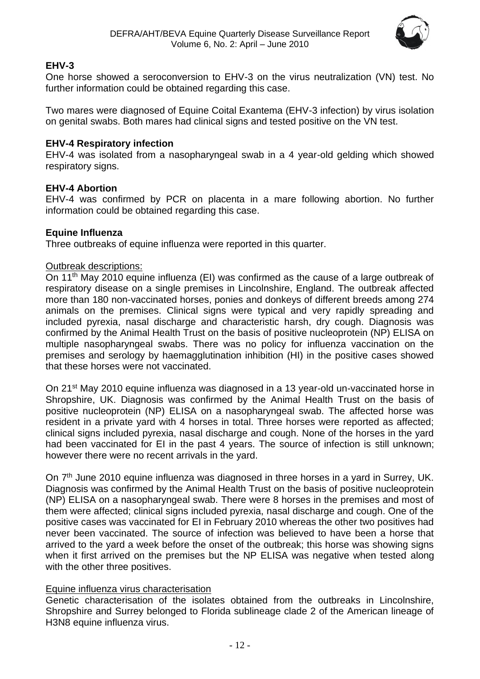

# **EHV-3**

One horse showed a seroconversion to EHV-3 on the virus neutralization (VN) test. No further information could be obtained regarding this case.

Two mares were diagnosed of Equine Coital Exantema (EHV-3 infection) by virus isolation on genital swabs. Both mares had clinical signs and tested positive on the VN test.

# **EHV-4 Respiratory infection**

EHV-4 was isolated from a nasopharyngeal swab in a 4 year-old gelding which showed respiratory signs.

# **EHV-4 Abortion**

EHV-4 was confirmed by PCR on placenta in a mare following abortion. No further information could be obtained regarding this case.

# **Equine Influenza**

Three outbreaks of equine influenza were reported in this quarter.

# Outbreak descriptions:

On 11th May 2010 equine influenza (EI) was confirmed as the cause of a large outbreak of respiratory disease on a single premises in Lincolnshire, England. The outbreak affected more than 180 non-vaccinated horses, ponies and donkeys of different breeds among 274 animals on the premises. Clinical signs were typical and very rapidly spreading and included pyrexia, nasal discharge and characteristic harsh, dry cough. Diagnosis was confirmed by the Animal Health Trust on the basis of positive nucleoprotein (NP) ELISA on multiple nasopharyngeal swabs. There was no policy for influenza vaccination on the premises and serology by haemagglutination inhibition (HI) in the positive cases showed that these horses were not vaccinated.

On 21st May 2010 equine influenza was diagnosed in a 13 year-old un-vaccinated horse in Shropshire, UK. Diagnosis was confirmed by the Animal Health Trust on the basis of positive nucleoprotein (NP) ELISA on a nasopharyngeal swab. The affected horse was resident in a private yard with 4 horses in total. Three horses were reported as affected; clinical signs included pyrexia, nasal discharge and cough. None of the horses in the yard had been vaccinated for EI in the past 4 years. The source of infection is still unknown; however there were no recent arrivals in the yard.

On 7<sup>th</sup> June 2010 equine influenza was diagnosed in three horses in a yard in Surrey, UK. Diagnosis was confirmed by the Animal Health Trust on the basis of positive nucleoprotein (NP) ELISA on a nasopharyngeal swab. There were 8 horses in the premises and most of them were affected; clinical signs included pyrexia, nasal discharge and cough. One of the positive cases was vaccinated for EI in February 2010 whereas the other two positives had never been vaccinated. The source of infection was believed to have been a horse that arrived to the yard a week before the onset of the outbreak; this horse was showing signs when it first arrived on the premises but the NP ELISA was negative when tested along with the other three positives.

# Equine influenza virus characterisation

Genetic characterisation of the isolates obtained from the outbreaks in Lincolnshire, Shropshire and Surrey belonged to Florida sublineage clade 2 of the American lineage of H3N8 equine influenza virus.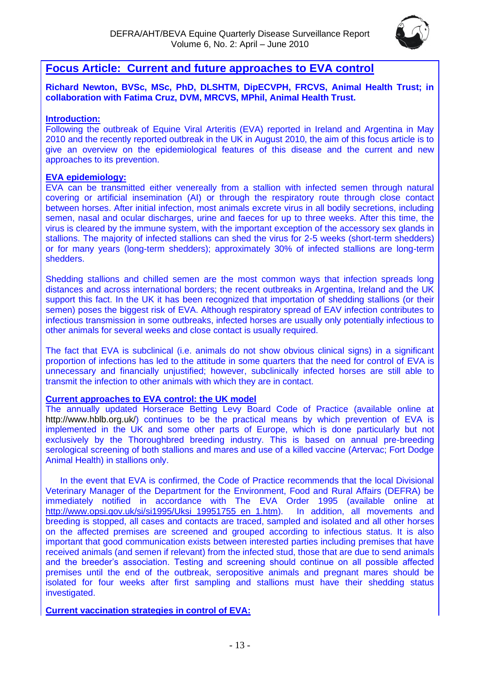

# <span id="page-12-0"></span>**Focus Article: Current and future approaches to EVA control**

**Richard Newton, BVSc, MSc, PhD, DLSHTM, DipECVPH, FRCVS, Animal Health Trust; in collaboration with Fatima Cruz, DVM, MRCVS, MPhil, Animal Health Trust.** 

#### **Introduction:**

Following the outbreak of Equine Viral Arteritis (EVA) reported in Ireland and Argentina in May 2010 and the recently reported outbreak in the UK in August 2010, the aim of this focus article is to give an overview on the epidemiological features of this disease and the current and new approaches to its prevention.

#### **EVA epidemiology:**

EVA can be transmitted either venereally from a stallion with infected semen through natural covering or artificial insemination (AI) or through the respiratory route through close contact between horses. After initial infection, most animals excrete virus in all bodily secretions, including semen, nasal and ocular discharges, urine and faeces for up to three weeks. After this time, the virus is cleared by the immune system, with the important exception of the accessory sex glands in stallions. The majority of infected stallions can shed the virus for 2-5 weeks (short-term shedders) or for many years (long-term shedders); approximately 30% of infected stallions are long-term shedders.

Shedding stallions and chilled semen are the most common ways that infection spreads long distances and across international borders; the recent outbreaks in Argentina, Ireland and the UK support this fact. In the UK it has been recognized that importation of shedding stallions (or their semen) poses the biggest risk of EVA. Although respiratory spread of EAV infection contributes to infectious transmission in some outbreaks, infected horses are usually only potentially infectious to other animals for several weeks and close contact is usually required.

The fact that EVA is subclinical (i.e. animals do not show obvious clinical signs) in a significant proportion of infections has led to the attitude in some quarters that the need for control of EVA is unnecessary and financially unjustified; however, subclinically infected horses are still able to transmit the infection to other animals with which they are in contact.

#### **Current approaches to EVA control: the UK model**

The annually updated Horserace Betting Levy Board Code of Practice (available online at [http://www.hblb.org.uk/\)](http://www.hblb.org.uk/) continues to be the practical means by which prevention of EVA is implemented in the UK and some other parts of Europe, which is done particularly but not exclusively by the Thoroughbred breeding industry. This is based on annual pre-breeding serological screening of both stallions and mares and use of a killed vaccine (Artervac; Fort Dodge Animal Health) in stallions only.

In the event that EVA is confirmed, the Code of Practice recommends that the local Divisional Veterinary Manager of the Department for the Environment, Food and Rural Affairs (DEFRA) be immediately notified in accordance with The EVA Order 1995 (available online at http://www.opsi.gov.uk/si/si1995/Uksi\_19951755\_en\_1.htm). In addition, all movements and [http://www.opsi.gov.uk/si/si1995/Uksi\\_19951755\\_en\\_1.htm\)](http://www.opsi.gov.uk/si/si1995/Uksi_19951755_en_1.htm). breeding is stopped, all cases and contacts are traced, sampled and isolated and all other horses on the affected premises are screened and grouped according to infectious status. It is also important that good communication exists between interested parties including premises that have received animals (and semen if relevant) from the infected stud, those that are due to send animals and the breeder's association. Testing and screening should continue on all possible affected premises until the end of the outbreak, seropositive animals and pregnant mares should be isolated for four weeks after first sampling and stallions must have their shedding status investigated.

**Current vaccination strategies in control of EVA:**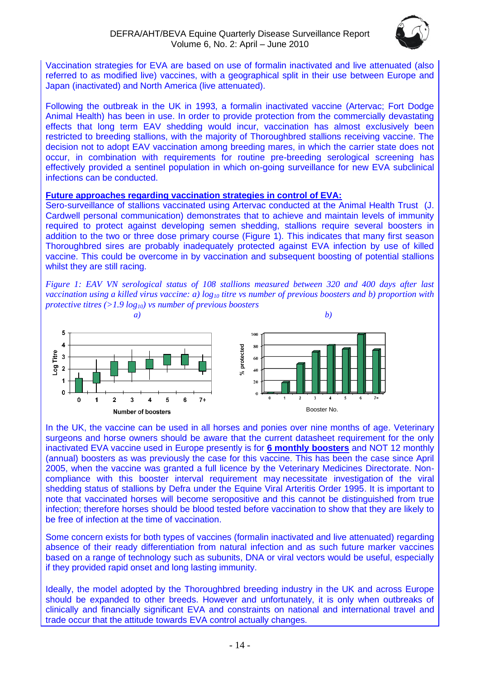

Vaccination strategies for EVA are based on use of formalin inactivated and live attenuated (also referred to as modified live) vaccines, with a geographical split in their use between Europe and Japan (inactivated) and North America (live attenuated).

Following the outbreak in the UK in 1993, a formalin inactivated vaccine (Artervac; Fort Dodge Animal Health) has been in use. In order to provide protection from the commercially devastating effects that long term EAV shedding would incur, vaccination has almost exclusively been restricted to breeding stallions, with the majority of Thoroughbred stallions receiving vaccine. The decision not to adopt EAV vaccination among breeding mares, in which the carrier state does not occur, in combination with requirements for routine pre-breeding serological screening has effectively provided a sentinel population in which on-going surveillance for new EVA subclinical infections can be conducted.

#### **Future approaches regarding vaccination strategies in control of EVA:**

Sero-surveillance of stallions vaccinated using Artervac conducted at the Animal Health Trust (J. Cardwell personal communication) demonstrates that to achieve and maintain levels of immunity required to protect against developing semen shedding, stallions require several boosters in addition to the two or three dose primary course (Figure 1). This indicates that many first season Thoroughbred sires are probably inadequately protected against EVA infection by use of killed vaccine. This could be overcome in by vaccination and subsequent boosting of potential stallions whilst they are still racing.

*Figure 1: EAV VN serological status of 108 stallions measured between 320 and 400 days after last vaccination using a killed virus vaccine: a) log<sup>10</sup> titre vs number of previous boosters and b) proportion with protective titres (>1.9 log10) vs number of previous boosters* 



I In the UK, the vaccine can be used in all horses and ponies over nine months of age. Veterinary surgeons and horse owners should be aware that the current datasheet requirement for the only inactivated EVA vaccine used in Europe presently is for **6 monthly boosters** and NOT 12 monthly (annual) boosters as was previously the case for this vaccine. This has been the case since April 2005, when the vaccine was granted a full licence by the Veterinary Medicines Directorate. Noncompliance with this booster interval requirement may necessitate investigation of the viral shedding status of stallions by Defra under the Equine Viral Arteritis Order 1995. It is important to note that vaccinated horses will become seropositive and this cannot be distinguished from true infection; therefore horses should be blood tested before vaccination to show that they are likely to be free of infection at the time of vaccination.

Some concern exists for both types of vaccines (formalin inactivated and live attenuated) regarding absence of their ready differentiation from natural infection and as such future marker vaccines based on a range of technology such as subunits, DNA or viral vectors would be useful, especially if they provided rapid onset and long lasting immunity.

Ideally, the model adopted by the Thoroughbred breeding industry in the UK and across Europe should be expanded to other breeds. However and unfortunately, it is only when outbreaks of clinically and financially significant EVA and constraints on national and international travel and trade occur that the attitude towards EVA control actually changes.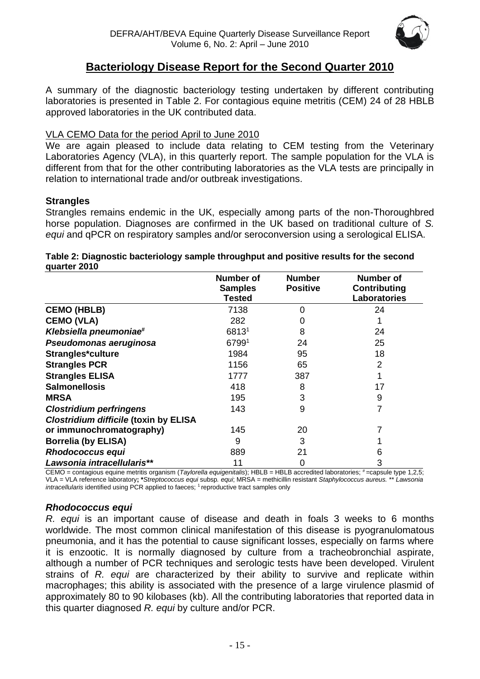

# **Bacteriology Disease Report for the Second Quarter 2010**

<span id="page-14-0"></span>A summary of the diagnostic bacteriology testing undertaken by different contributing laboratories is presented in Table 2. For contagious equine metritis (CEM) 24 of 28 HBLB approved laboratories in the UK contributed data.

## VLA CEMO Data for the period April to June 2010

We are again pleased to include data relating to CEM testing from the Veterinary Laboratories Agency (VLA), in this quarterly report. The sample population for the VLA is different from that for the other contributing laboratories as the VLA tests are principally in relation to international trade and/or outbreak investigations.

### **Strangles**

Strangles remains endemic in the UK, especially among parts of the non-Thoroughbred horse population. Diagnoses are confirmed in the UK based on traditional culture of *S. equi* and qPCR on respiratory samples and/or seroconversion using a serological ELISA.

#### **Table 2: Diagnostic bacteriology sample throughput and positive results for the second quarter 2010**

|                                              | <b>Number of</b> | <b>Number</b>   | <b>Number of</b>    |
|----------------------------------------------|------------------|-----------------|---------------------|
|                                              | <b>Samples</b>   | <b>Positive</b> | <b>Contributing</b> |
|                                              | Tested           |                 | <b>Laboratories</b> |
| <b>CEMO (HBLB)</b>                           | 7138             | 0               | 24                  |
| <b>CEMO (VLA)</b>                            | 282              | 0               |                     |
| Klebsiella pneumoniae#                       | 68131            | 8               | 24                  |
| Pseudomonas aeruginosa                       | 67991            | 24              | 25                  |
| Strangles*culture                            | 1984             | 95              | 18                  |
| <b>Strangles PCR</b>                         | 1156             | 65              | 2                   |
| <b>Strangles ELISA</b>                       | 1777             | 387             |                     |
| <b>Salmonellosis</b>                         | 418              | 8               | 17                  |
| <b>MRSA</b>                                  | 195              | 3               | 9                   |
| <b>Clostridium perfringens</b>               | 143              | 9               |                     |
| <b>Clostridium difficile (toxin by ELISA</b> |                  |                 |                     |
| or immunochromatography)                     | 145              | 20              |                     |
| <b>Borrelia (by ELISA)</b>                   | 9                | 3               |                     |
| <b>Rhodococcus equi</b>                      | 889              | 21              | 6                   |
| Lawsonia intracellularis**                   | 11               | 0               | 3                   |

CEMO = contagious equine metritis organism (Taylorella equigenitalis); HBLB = HBLB accredited laboratories; # =capsule type 1,2,5; VLA = VLA reference laboratory**; \****Streptococcus equi* subsp*. equi*; MRSA = methicillin resistant *Staphylococcus aureus.* \*\* *Lawsonia intracellularis* identified using PCR applied to faeces; <sup>1</sup> reproductive tract samples only

### *Rhodococcus equi*

*R. equi* is an important cause of disease and death in foals 3 weeks to 6 months worldwide. The most common clinical manifestation of this disease is pyogranulomatous pneumonia, and it has the potential to cause significant losses, especially on farms where it is enzootic. It is normally diagnosed by culture from a tracheobronchial aspirate, although a number of PCR techniques and serologic tests have been developed. Virulent strains of *R. equi* are characterized by their ability to survive and replicate within macrophages; this ability is associated with the presence of a large virulence plasmid of approximately 80 to 90 kilobases (kb). All the contributing laboratories that reported data in this quarter diagnosed *R. equi* by culture and/or PCR.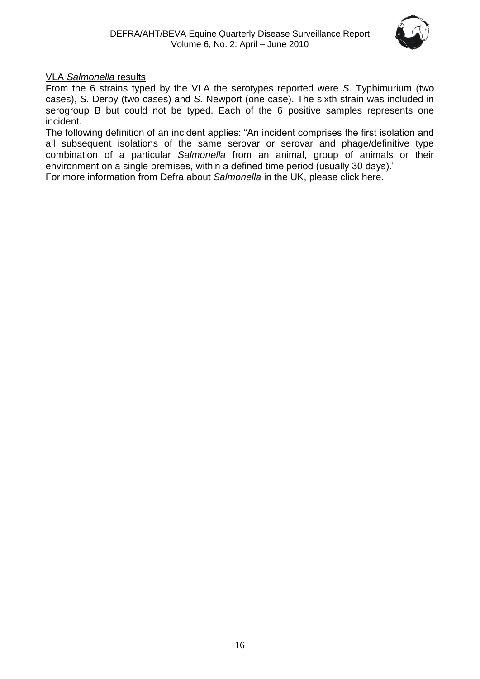

## VLA *Salmonella* results

From the 6 strains typed by the VLA the serotypes reported were *S*. Typhimurium (two cases), *S.* Derby (two cases) and *S.* Newport (one case). The sixth strain was included in serogroup B but could not be typed. Each of the 6 positive samples represents one incident.

The following definition of an incident applies: "An incident comprises the first isolation and all subsequent isolations of the same serovar or serovar and phage/definitive type combination of a particular *Salmonella* from an animal, group of animals or their environment on a single premises, within a defined time period (usually 30 days)."

For more information from Defra about *Salmonella* in the UK, please [click here.](http://www.defra.gov.uk/vla/reports/rep_salm_rep07.htm)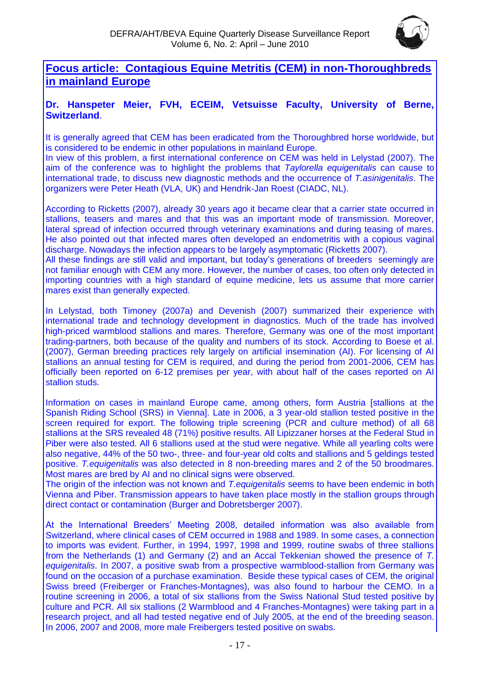

<span id="page-16-0"></span>**Focus article: Contagious Equine Metritis (CEM) in non-Thoroughbreds in mainland Europe**

# **Dr. Hanspeter Meier, FVH, ECEIM, Vetsuisse Faculty, University of Berne, Switzerland**.

It is generally agreed that CEM has been eradicated from the Thoroughbred horse worldwide, but is considered to be endemic in other populations in mainland Europe.

In view of this problem, a first international conference on CEM was held in Lelystad (2007). The aim of the conference was to highlight the problems that *Taylorella equigenitalis* can cause to international trade, to discuss new diagnostic methods and the occurrence of *T.asinigenitalis*. The organizers were Peter Heath (VLA, UK) and Hendrik-Jan Roest (CIADC, NL).

According to Ricketts (2007), already 30 years ago it became clear that a carrier state occurred in stallions, teasers and mares and that this was an important mode of transmission. Moreover, lateral spread of infection occurred through veterinary examinations and during teasing of mares. He also pointed out that infected mares often developed an endometritis with a copious vaginal discharge. Nowadays the infection appears to be largely asymptomatic (Ricketts 2007).

All these findings are still valid and important, but today's generations of breeders seemingly are not familiar enough with CEM any more. However, the number of cases, too often only detected in importing countries with a high standard of equine medicine, lets us assume that more carrier mares exist than generally expected.

In Lelystad, both Timoney (2007a) and Devenish (2007) summarized their experience with international trade and technology development in diagnostics. Much of the trade has involved high-priced warmblood stallions and mares. Therefore, Germany was one of the most important trading-partners, both because of the quality and numbers of its stock. According to Boese et al. (2007), German breeding practices rely largely on artificial insemination (AI). For licensing of AI stallions an annual testing for CEM is required, and during the period from 2001-2006, CEM has officially been reported on 6-12 premises per year, with about half of the cases reported on AI stallion studs.

Information on cases in mainland Europe came, among others, form Austria [stallions at the Spanish Riding School (SRS) in Vienna]. Late in 2006, a 3 year-old stallion tested positive in the screen required for export. The following triple screening (PCR and culture method) of all 68 stallions at the SRS revealed 48 (71%) positive results. All Lipizzaner horses at the Federal Stud in Piber were also tested. All 6 stallions used at the stud were negative. While all yearling colts were also negative, 44% of the 50 two-, three- and four-year old colts and stallions and 5 geldings tested positive. *T.equigenitalis* was also detected in 8 non-breeding mares and 2 of the 50 broodmares. Most mares are bred by AI and no clinical signs were observed.

The origin of the infection was not known and *T.equigenitalis* seems to have been endemic in both Vienna and Piber. Transmission appears to have taken place mostly in the stallion groups through direct contact or contamination (Burger and Dobretsberger 2007).

At the International Breeders' Meeting 2008, detailed information was also available from Switzerland, where clinical cases of CEM occurred in 1988 and 1989. In some cases, a connection to imports was evident. Further, in 1994, 1997, 1998 and 1999, routine swabs of three stallions from the Netherlands (1) and Germany (2) and an Accal Tekkenian showed the presence of *T. equigenitalis*. In 2007, a positive swab from a prospective warmblood-stallion from Germany was found on the occasion of a purchase examination. Beside these typical cases of CEM, the original Swiss breed (Freiberger or Franches-Montagnes), was also found to harbour the CEMO. In a routine screening in 2006, a total of six stallions from the Swiss National Stud tested positive by culture and PCR. All six stallions (2 Warmblood and 4 Franches-Montagnes) were taking part in a research project, and all had tested negative end of July 2005, at the end of the breeding season. In 2006, 2007 and 2008, more male Freibergers tested positive on swabs.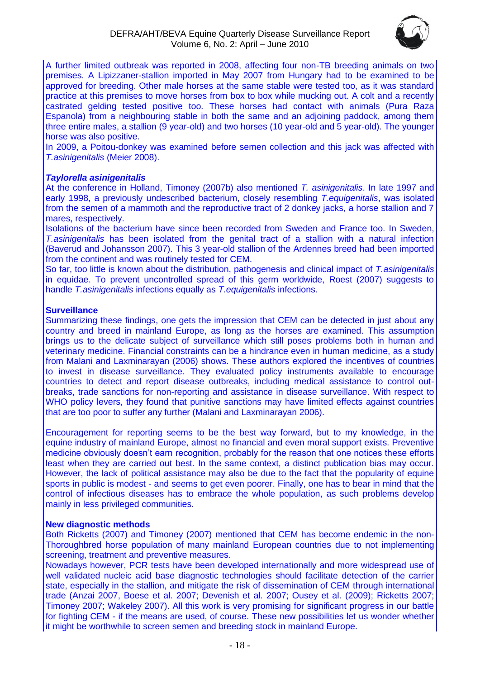

A further limited outbreak was reported in 2008, affecting four non-TB breeding animals on two premises. A Lipizzaner-stallion imported in May 2007 from Hungary had to be examined to be approved for breeding. Other male horses at the same stable were tested too, as it was standard practice at this premises to move horses from box to box while mucking out. A colt and a recently castrated gelding tested positive too. These horses had contact with animals (Pura Raza Espanola) from a neighbouring stable in both the same and an adjoining paddock, among them three entire males, a stallion (9 year-old) and two horses (10 year-old and 5 year-old). The younger horse was also positive.

In 2009, a Poitou-donkey was examined before semen collection and this jack was affected with *T.asinigenitalis* (Meier 2008).

#### *Taylorella asinigenitalis*

At the conference in Holland, Timoney (2007b) also mentioned *T. asinigenitalis*. In late 1997 and early 1998, a previously undescribed bacterium, closely resembling *T.equigenitalis*, was isolated from the semen of a mammoth and the reproductive tract of 2 donkey jacks, a horse stallion and 7 mares, respectively.

Isolations of the bacterium have since been recorded from Sweden and France too. In Sweden, *T.asinigenitalis* has been isolated from the genital tract of a stallion with a natural infection (Baverud and Johansson 2007). This 3 year-old stallion of the Ardennes breed had been imported from the continent and was routinely tested for CEM.

So far, too little is known about the distribution, pathogenesis and clinical impact of *T.asinigenitalis*  in equidae. To prevent uncontrolled spread of this germ worldwide, Roest (2007) suggests to handle *T.asinigenitalis* infections equally as *T.equigenitalis* infections.

#### **Surveillance**

Summarizing these findings, one gets the impression that CEM can be detected in just about any country and breed in mainland Europe, as long as the horses are examined. This assumption brings us to the delicate subject of surveillance which still poses problems both in human and veterinary medicine. Financial constraints can be a hindrance even in human medicine, as a study from Malani and Laxminarayan (2006) shows. These authors explored the incentives of countries to invest in disease surveillance. They evaluated policy instruments available to encourage countries to detect and report disease outbreaks, including medical assistance to control outbreaks, trade sanctions for non-reporting and assistance in disease surveillance. With respect to WHO policy levers, they found that punitive sanctions may have limited effects against countries that are too poor to suffer any further (Malani and Laxminarayan 2006).

Encouragement for reporting seems to be the best way forward, but to my knowledge, in the equine industry of mainland Europe, almost no financial and even moral support exists. Preventive medicine obviously doesn't earn recognition, probably for the reason that one notices these efforts least when they are carried out best. In the same context, a distinct publication bias may occur. However, the lack of political assistance may also be due to the fact that the popularity of equine sports in public is modest - and seems to get even poorer. Finally, one has to bear in mind that the control of infectious diseases has to embrace the whole population, as such problems develop mainly in less privileged communities.

#### **New diagnostic methods**

Both Ricketts (2007) and Timoney (2007) mentioned that CEM has become endemic in the non-Thoroughbred horse population of many mainland European countries due to not implementing screening, treatment and preventive measures.

Nowadays however, PCR tests have been developed internationally and more widespread use of well validated nucleic acid base diagnostic technologies should facilitate detection of the carrier state, especially in the stallion, and mitigate the risk of dissemination of CEM through international trade (Anzai 2007, Boese et al. 2007; Devenish et al. 2007; Ousey et al. (2009); Ricketts 2007; Timoney 2007; Wakeley 2007). All this work is very promising for significant progress in our battle for fighting CEM - if the means are used, of course. These new possibilities let us wonder whether it might be worthwhile to screen semen and breeding stock in mainland Europe.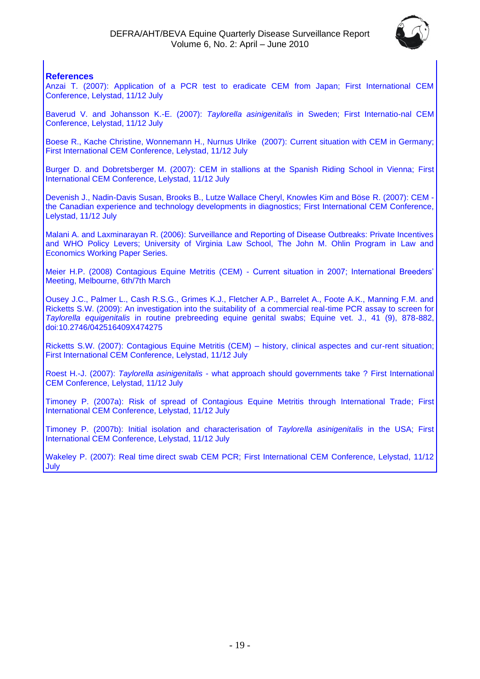

#### **References**

Anzai T. (2007): Application of a PCR test to eradicate CEM from Japan; First International CEM Conference, Lelystad, 11/12 July

Baverud V. and Johansson K.-E. (2007): *Taylorella asinigenitalis* in Sweden; First Internatio-nal CEM Conference, Lelystad, 11/12 July

Boese R., Kache Christine, Wonnemann H., Nurnus Ulrike (2007): Current situation with CEM in Germany; First International CEM Conference, Lelystad, 11/12 July

Burger D. and Dobretsberger M. (2007): CEM in stallions at the Spanish Riding School in Vienna; First International CEM Conference, Lelystad, 11/12 July

Devenish J., Nadin-Davis Susan, Brooks B., Lutze Wallace Cheryl, Knowles Kim and Böse R. (2007): CEM the Canadian experience and technology developments in diagnostics; First International CEM Conference, Lelystad, 11/12 July

Malani A. and Laxminarayan R. (2006): Surveillance and Reporting of Disease Outbreaks: Private Incentives and WHO Policy Levers; University of Virginia Law School, The John M. Ohlin Program in Law and Economics Working Paper Series.

Meier H.P. (2008) Contagious Equine Metritis (CEM) - Current situation in 2007; International Breeders' Meeting, Melbourne, 6th/7th March

Ousey J.C., Palmer L., Cash R.S.G., Grimes K.J., Fletcher A.P., Barrelet A., Foote A.K., Manning F.M. and Ricketts S.W. (2009): An investigation into the suitability of a commercial real-time PCR assay to screen for *Taylorella equigenitalis* in routine prebreeding equine genital swabs; Equine vet. J., 41 (9), 878-882, doi:10.2746/042516409X474275

Ricketts S.W. (2007): Contagious Equine Metritis (CEM) – history, clinical aspectes and cur-rent situation; First International CEM Conference, Lelystad, 11/12 July

Roest H.-J. (2007): *Taylorella asinigenitalis* - what approach should governments take ? First International CEM Conference, Lelystad, 11/12 July

Timoney P. (2007a): Risk of spread of Contagious Equine Metritis through International Trade; First International CEM Conference, Lelystad, 11/12 July

Timoney P. (2007b): Initial isolation and characterisation of *Taylorella asinigenitalis* in the USA; First International CEM Conference, Lelystad, 11/12 July

Wakeley P. (2007): Real time direct swab CEM PCR; First International CEM Conference, Lelystad, 11/12 **July**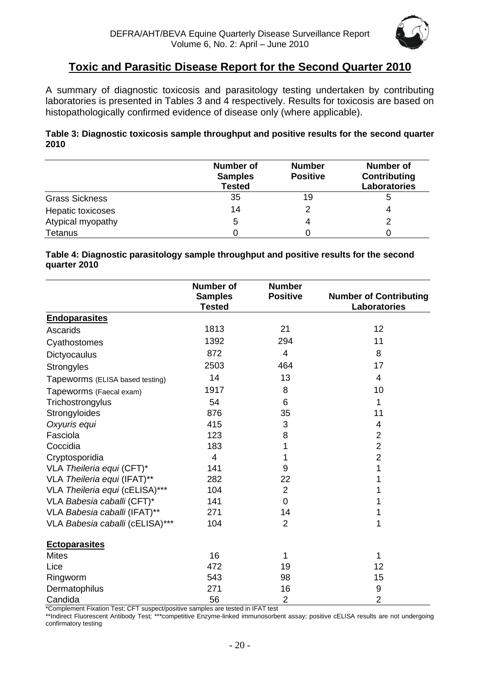

# **Toxic and Parasitic Disease Report for the Second Quarter 2010**

<span id="page-19-0"></span>A summary of diagnostic toxicosis and parasitology testing undertaken by contributing laboratories is presented in Tables 3 and 4 respectively. Results for toxicosis are based on histopathologically confirmed evidence of disease only (where applicable).

#### **Table 3: Diagnostic toxicosis sample throughput and positive results for the second quarter 2010**

|                       | <b>Number of</b><br><b>Samples</b><br><b>Tested</b> | <b>Number</b><br><b>Positive</b> | Number of<br>Contributing<br>Laboratories |
|-----------------------|-----------------------------------------------------|----------------------------------|-------------------------------------------|
| <b>Grass Sickness</b> | 35                                                  | 19                               | 5                                         |
| Hepatic toxicoses     | 14                                                  |                                  |                                           |
| Atypical myopathy     | 5                                                   |                                  |                                           |
| Tetanus               |                                                     |                                  |                                           |

#### **Table 4: Diagnostic parasitology sample throughput and positive results for the second quarter 2010**

|                                 | <b>Number of</b><br><b>Samples</b><br><b>Tested</b> | <b>Number</b><br><b>Positive</b> | <b>Number of Contributing</b><br>Laboratories |
|---------------------------------|-----------------------------------------------------|----------------------------------|-----------------------------------------------|
| <b>Endoparasites</b>            |                                                     |                                  |                                               |
| Ascarids                        | 1813                                                | 21                               | 12                                            |
| Cyathostomes                    | 1392                                                | 294                              | 11                                            |
| Dictyocaulus                    | 872                                                 | 4                                | 8                                             |
| <b>Strongyles</b>               | 2503                                                | 464                              | 17                                            |
| Tapeworms (ELISA based testing) | 14                                                  | 13                               | 4                                             |
| Tapeworms (Faecal exam)         | 1917                                                | 8                                | 10                                            |
| Trichostrongylus                | 54                                                  | 6                                | 1                                             |
| Strongyloides                   | 876                                                 | 35                               | 11                                            |
| Oxyuris equi                    | 415                                                 | 3                                | 4                                             |
| Fasciola                        | 123                                                 | 8                                | $\overline{2}$                                |
| Coccidia                        | 183                                                 |                                  | $\overline{2}$                                |
| Cryptosporidia                  | 4                                                   | 1                                | $\overline{2}$                                |
| VLA Theileria equi (CFT)*       | 141                                                 | 9                                | 1                                             |
| VLA Theileria equi (IFAT)**     | 282                                                 | 22                               |                                               |
| VLA Theileria equi (cELISA)***  | 104                                                 | $\overline{2}$                   |                                               |
| VLA Babesia caballi (CFT)*      | 141                                                 | $\overline{0}$                   |                                               |
| VLA Babesia caballi (IFAT)**    | 271                                                 | 14                               |                                               |
| VLA Babesia caballi (cELISA)*** | 104                                                 | $\overline{2}$                   | 1                                             |
| <b>Ectoparasites</b>            |                                                     |                                  |                                               |
| <b>Mites</b>                    | 16                                                  | 1                                | 1                                             |
| Lice                            | 472                                                 | 19                               | 12                                            |
| Ringworm                        | 543                                                 | 98                               | 15                                            |
| Dermatophilus                   | 271                                                 | 16                               | 9                                             |
| Candida                         | 56                                                  | $\overline{2}$                   | $\overline{2}$                                |

\*Complement Fixation Test; CFT suspect/positive samples are tested in IFAT test

\*\*Indirect Fluorescent Antibody Test; \*\*\*competitive Enzyme-linked immunosorbent assay; positive cELISA results are not undergoing confirmatory testing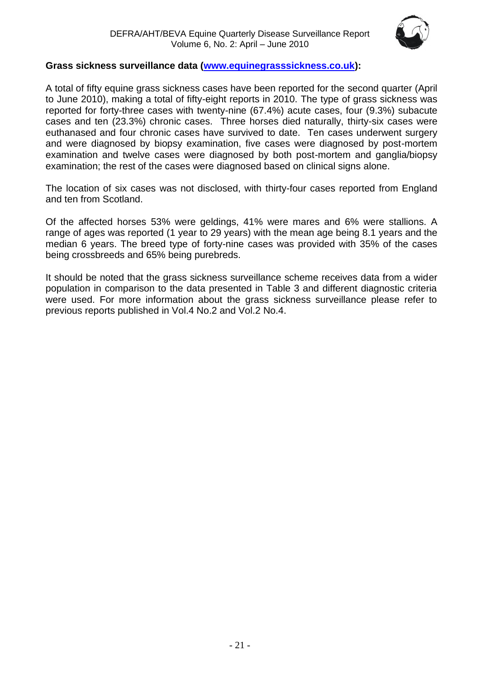

# **Grass sickness surveillance data [\(www.equinegrasssickness.co.uk\)](http://www.equinegrasssickness.co.uk/):**

A total of fifty equine grass sickness cases have been reported for the second quarter (April to June 2010), making a total of fifty-eight reports in 2010. The type of grass sickness was reported for forty-three cases with twenty-nine (67.4%) acute cases, four (9.3%) subacute cases and ten (23.3%) chronic cases. Three horses died naturally, thirty-six cases were euthanased and four chronic cases have survived to date. Ten cases underwent surgery and were diagnosed by biopsy examination, five cases were diagnosed by post-mortem examination and twelve cases were diagnosed by both post-mortem and ganglia/biopsy examination; the rest of the cases were diagnosed based on clinical signs alone.

The location of six cases was not disclosed, with thirty-four cases reported from England and ten from Scotland.

Of the affected horses 53% were geldings, 41% were mares and 6% were stallions. A range of ages was reported (1 year to 29 years) with the mean age being 8.1 years and the median 6 years. The breed type of forty-nine cases was provided with 35% of the cases being crossbreeds and 65% being purebreds.

It should be noted that the grass sickness surveillance scheme receives data from a wider population in comparison to the data presented in Table 3 and different diagnostic criteria were used. For more information about the grass sickness surveillance please refer to previous reports published in Vol.4 No.2 and Vol.2 No.4.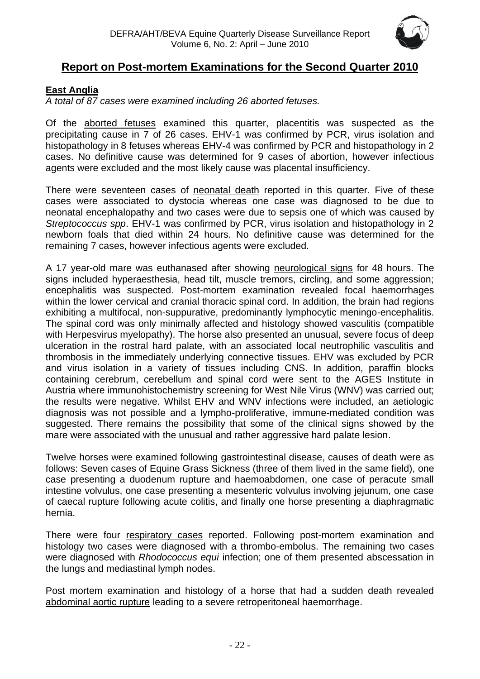

# <span id="page-21-0"></span>**Report on Post-mortem Examinations for the Second Quarter 2010**

# <span id="page-21-1"></span>**East Anglia**

*A total of 87 cases were examined including 26 aborted fetuses.*

Of the aborted fetuses examined this quarter, placentitis was suspected as the precipitating cause in 7 of 26 cases. EHV-1 was confirmed by PCR, virus isolation and histopathology in 8 fetuses whereas EHV-4 was confirmed by PCR and histopathology in 2 cases. No definitive cause was determined for 9 cases of abortion, however infectious agents were excluded and the most likely cause was placental insufficiency.

There were seventeen cases of neonatal death reported in this quarter. Five of these cases were associated to dystocia whereas one case was diagnosed to be due to neonatal encephalopathy and two cases were due to sepsis one of which was caused by *Streptococcus spp*. EHV-1 was confirmed by PCR, virus isolation and histopathology in 2 newborn foals that died within 24 hours. No definitive cause was determined for the remaining 7 cases, however infectious agents were excluded.

A 17 year-old mare was euthanased after showing neurological signs for 48 hours. The signs included hyperaesthesia, head tilt, muscle tremors, circling, and some aggression; encephalitis was suspected. Post-mortem examination revealed focal haemorrhages within the lower cervical and cranial thoracic spinal cord. In addition, the brain had regions exhibiting a multifocal, non-suppurative, predominantly lymphocytic meningo-encephalitis. The spinal cord was only minimally affected and histology showed vasculitis (compatible with Herpesvirus myelopathy). The horse also presented an unusual, severe focus of deep ulceration in the rostral hard palate, with an associated local neutrophilic vasculitis and thrombosis in the immediately underlying connective tissues. EHV was excluded by PCR and virus isolation in a variety of tissues including CNS. In addition, paraffin blocks containing cerebrum, cerebellum and spinal cord were sent to the AGES Institute in Austria where immunohistochemistry screening for West Nile Virus (WNV) was carried out; the results were negative. Whilst EHV and WNV infections were included, an aetiologic diagnosis was not possible and a lympho-proliferative, immune-mediated condition was suggested. There remains the possibility that some of the clinical signs showed by the mare were associated with the unusual and rather aggressive hard palate lesion.

Twelve horses were examined following gastrointestinal disease, causes of death were as follows: Seven cases of Equine Grass Sickness (three of them lived in the same field), one case presenting a duodenum rupture and haemoabdomen, one case of peracute small intestine volvulus, one case presenting a mesenteric volvulus involving jejunum, one case of caecal rupture following acute colitis, and finally one horse presenting a diaphragmatic hernia.

There were four respiratory cases reported. Following post-mortem examination and histology two cases were diagnosed with a thrombo-embolus. The remaining two cases were diagnosed with *Rhodococcus equi* infection; one of them presented abscessation in the lungs and mediastinal lymph nodes.

Post mortem examination and histology of a horse that had a sudden death revealed abdominal aortic rupture leading to a severe retroperitoneal haemorrhage.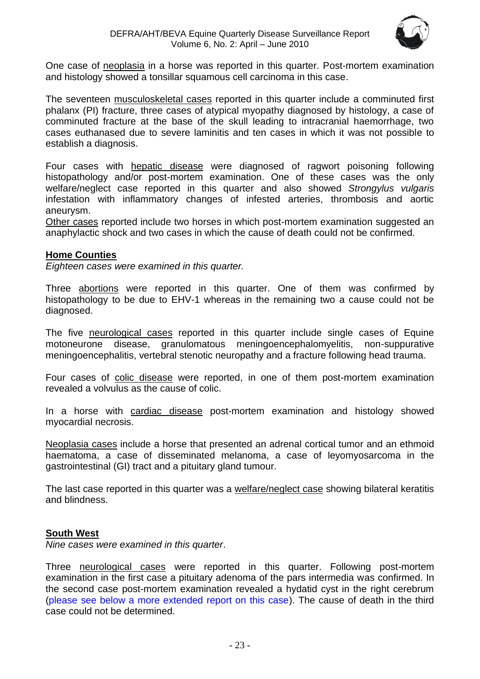

One case of neoplasia in a horse was reported in this quarter. Post-mortem examination and histology showed a tonsillar squamous cell carcinoma in this case.

The seventeen musculoskeletal cases reported in this quarter include a comminuted first phalanx (PI) fracture, three cases of atypical myopathy diagnosed by histology, a case of comminuted fracture at the base of the skull leading to intracranial haemorrhage, two cases euthanased due to severe laminitis and ten cases in which it was not possible to establish a diagnosis.

Four cases with hepatic disease were diagnosed of ragwort poisoning following histopathology and/or post-mortem examination. One of these cases was the only welfare/neglect case reported in this quarter and also showed *Strongylus vulgaris* infestation with inflammatory changes of infested arteries, thrombosis and aortic aneurysm.

Other cases reported include two horses in which post-mortem examination suggested an anaphylactic shock and two cases in which the cause of death could not be confirmed.

#### <span id="page-22-0"></span>**Home Counties**

*Eighteen cases were examined in this quarter.*

Three abortions were reported in this quarter. One of them was confirmed by histopathology to be due to EHV-1 whereas in the remaining two a cause could not be diagnosed.

The five neurological cases reported in this quarter include single cases of Equine motoneurone disease, granulomatous meningoencephalomyelitis, non-suppurative meningoencephalitis, vertebral stenotic neuropathy and a fracture following head trauma.

Four cases of colic disease were reported, in one of them post-mortem examination revealed a volvulus as the cause of colic.

In a horse with cardiac disease post-mortem examination and histology showed myocardial necrosis.

Neoplasia cases include a horse that presented an adrenal cortical tumor and an ethmoid haematoma, a case of disseminated melanoma, a case of leyomyosarcoma in the gastrointestinal (GI) tract and a pituitary gland tumour.

The last case reported in this quarter was a welfare/neglect case showing bilateral keratitis and blindness.

### <span id="page-22-1"></span>**South West**

*Nine cases were examined in this quarter*.

Three neurological cases were reported in this quarter. Following post-mortem examination in the first case a pituitary adenoma of the pars intermedia was confirmed. In the second case post-mortem examination revealed a hydatid cyst in the right cerebrum (please see below a more extended report on this case). The cause of death in the third case could not be determined.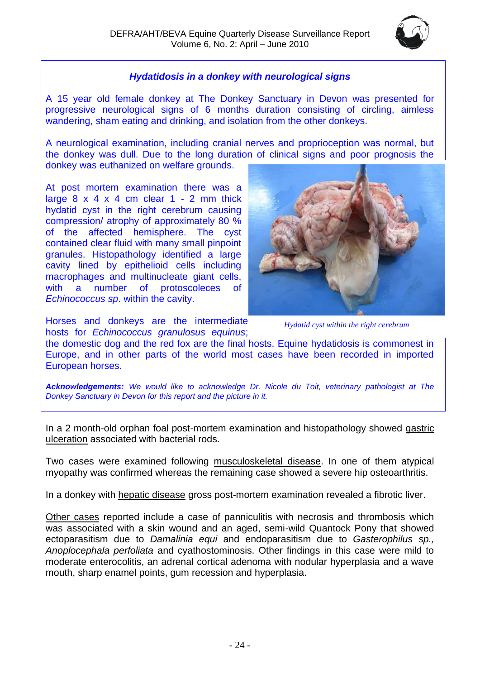

# *Hydatidosis in a donkey with neurological signs*

A 15 year old female donkey at The Donkey Sanctuary in Devon was presented for progressive neurological signs of 6 months duration consisting of circling, aimless wandering, sham eating and drinking, and isolation from the other donkeys.

A neurological examination, including cranial nerves and proprioception was normal, but the donkey was dull. Due to the long duration of clinical signs and poor prognosis the donkey was euthanized on welfare grounds.

At post mortem examination there was a large  $8 \times 4 \times 4$  cm clear  $1 - 2$  mm thick hydatid cyst in the right cerebrum causing compression/ atrophy of approximately 80 % of the affected hemisphere. The cyst contained clear fluid with many small pinpoint granules. Histopathology identified a large cavity lined by epithelioid cells including macrophages and multinucleate giant cells, with a number of protoscoleces of *Echinococcus sp*. within the cavity.



Horses and donkeys are the intermediate hosts for *Echinococcus granulosus equinus*;

*Hydatid cyst within the right cerebrum*

the domestic dog and the red fox are the final hosts. Equine hydatidosis is commonest in Europe, and in other parts of the world most cases have been recorded in imported European horses.

*Acknowledgements: We would like to acknowledge Dr. Nicole du Toit, veterinary pathologist at The Donkey Sanctuary in Devon for this report and the picture in it.* 

In a 2 month-old orphan foal post-mortem examination and histopathology showed gastric ulceration associated with bacterial rods.

Two cases were examined following musculoskeletal disease. In one of them atypical myopathy was confirmed whereas the remaining case showed a severe hip osteoarthritis.

In a donkey with hepatic disease gross post-mortem examination revealed a fibrotic liver.

Other cases reported include a case of panniculitis with necrosis and thrombosis which was associated with a skin wound and an aged, semi-wild Quantock Pony that showed ectoparasitism due to *Damalinia equi* and endoparasitism due to *Gasterophilus sp., Anoplocephala perfoliata* and cyathostominosis. Other findings in this case were mild to moderate enterocolitis, an adrenal cortical adenoma with nodular hyperplasia and a wave mouth, sharp enamel points, gum recession and hyperplasia.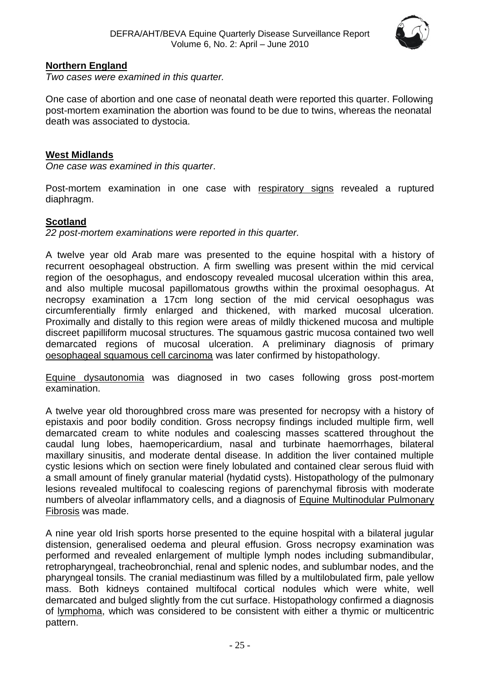

### <span id="page-24-0"></span>**Northern England**

*Two cases were examined in this quarter.*

One case of abortion and one case of neonatal death were reported this quarter. Following post-mortem examination the abortion was found to be due to twins, whereas the neonatal death was associated to dystocia.

#### <span id="page-24-1"></span>**West Midlands**

*One case was examined in this quarter*.

Post-mortem examination in one case with respiratory signs revealed a ruptured diaphragm.

### <span id="page-24-2"></span>**Scotland**

*22 post-mortem examinations were reported in this quarter.* 

A twelve year old Arab mare was presented to the equine hospital with a history of recurrent oesophageal obstruction. A firm swelling was present within the mid cervical region of the oesophagus, and endoscopy revealed mucosal ulceration within this area, and also multiple mucosal papillomatous growths within the proximal oesophagus. At necropsy examination a 17cm long section of the mid cervical oesophagus was circumferentially firmly enlarged and thickened, with marked mucosal ulceration. Proximally and distally to this region were areas of mildly thickened mucosa and multiple discreet papilliform mucosal structures. The squamous gastric mucosa contained two well demarcated regions of mucosal ulceration. A preliminary diagnosis of primary oesophageal squamous cell carcinoma was later confirmed by histopathology.

Equine dysautonomia was diagnosed in two cases following gross post-mortem examination.

A twelve year old thoroughbred cross mare was presented for necropsy with a history of epistaxis and poor bodily condition. Gross necropsy findings included multiple firm, well demarcated cream to white nodules and coalescing masses scattered throughout the caudal lung lobes, haemopericardium, nasal and turbinate haemorrhages, bilateral maxillary sinusitis, and moderate dental disease. In addition the liver contained multiple cystic lesions which on section were finely lobulated and contained clear serous fluid with a small amount of finely granular material (hydatid cysts). Histopathology of the pulmonary lesions revealed multifocal to coalescing regions of parenchymal fibrosis with moderate numbers of alveolar inflammatory cells, and a diagnosis of Equine Multinodular Pulmonary Fibrosis was made.

A nine year old Irish sports horse presented to the equine hospital with a bilateral jugular distension, generalised oedema and pleural effusion. Gross necropsy examination was performed and revealed enlargement of multiple lymph nodes including submandibular, retropharyngeal, tracheobronchial, renal and splenic nodes, and sublumbar nodes, and the pharyngeal tonsils. The cranial mediastinum was filled by a multilobulated firm, pale yellow mass. Both kidneys contained multifocal cortical nodules which were white, well demarcated and bulged slightly from the cut surface. Histopathology confirmed a diagnosis of lymphoma, which was considered to be consistent with either a thymic or multicentric pattern.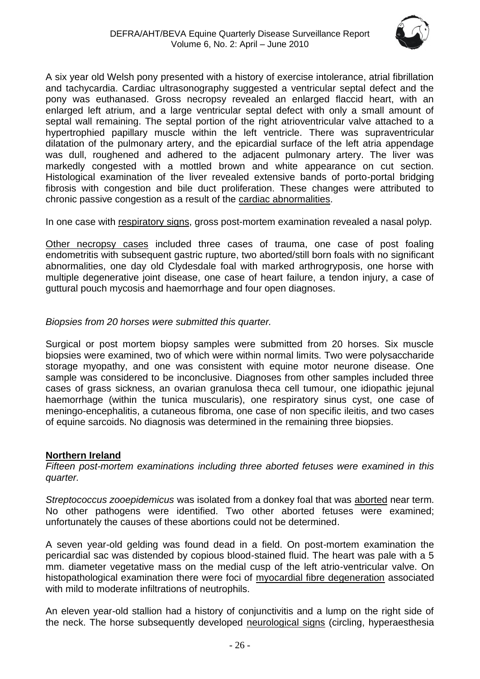

A six year old Welsh pony presented with a history of exercise intolerance, atrial fibrillation and tachycardia. Cardiac ultrasonography suggested a ventricular septal defect and the pony was euthanased. Gross necropsy revealed an enlarged flaccid heart, with an enlarged left atrium, and a large ventricular septal defect with only a small amount of septal wall remaining. The septal portion of the right atrioventricular valve attached to a hypertrophied papillary muscle within the left ventricle. There was supraventricular dilatation of the pulmonary artery, and the epicardial surface of the left atria appendage was dull, roughened and adhered to the adjacent pulmonary artery. The liver was markedly congested with a mottled brown and white appearance on cut section. Histological examination of the liver revealed extensive bands of porto-portal bridging fibrosis with congestion and bile duct proliferation. These changes were attributed to chronic passive congestion as a result of the cardiac abnormalities.

In one case with respiratory signs, gross post-mortem examination revealed a nasal polyp.

Other necropsy cases included three cases of trauma, one case of post foaling endometritis with subsequent gastric rupture, two aborted/still born foals with no significant abnormalities, one day old Clydesdale foal with marked arthrogryposis, one horse with multiple degenerative joint disease, one case of heart failure, a tendon injury, a case of guttural pouch mycosis and haemorrhage and four open diagnoses.

# *Biopsies from 20 horses were submitted this quarter.*

Surgical or post mortem biopsy samples were submitted from 20 horses. Six muscle biopsies were examined, two of which were within normal limits. Two were polysaccharide storage myopathy, and one was consistent with equine motor neurone disease. One sample was considered to be inconclusive. Diagnoses from other samples included three cases of grass sickness, an ovarian granulosa theca cell tumour, one idiopathic jejunal haemorrhage (within the tunica muscularis), one respiratory sinus cyst, one case of meningo-encephalitis, a cutaneous fibroma, one case of non specific ileitis, and two cases of equine sarcoids. No diagnosis was determined in the remaining three biopsies.

# <span id="page-25-0"></span>**Northern Ireland**

*Fifteen post-mortem examinations including three aborted fetuses were examined in this quarter.*

*Streptococcus zooepidemicus* was isolated from a donkey foal that was aborted near term. No other pathogens were identified. Two other aborted fetuses were examined; unfortunately the causes of these abortions could not be determined.

A seven year-old gelding was found dead in a field. On post-mortem examination the pericardial sac was distended by copious blood-stained fluid. The heart was pale with a 5 mm. diameter vegetative mass on the medial cusp of the left atrio-ventricular valve. On histopathological examination there were foci of myocardial fibre degeneration associated with mild to moderate infiltrations of neutrophils.

An eleven year-old stallion had a history of conjunctivitis and a lump on the right side of the neck. The horse subsequently developed neurological signs (circling, hyperaesthesia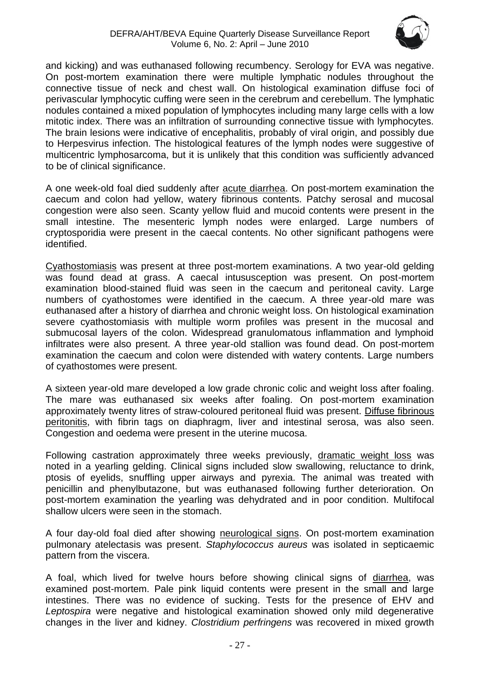

and kicking) and was euthanased following recumbency. Serology for EVA was negative. On post-mortem examination there were multiple lymphatic nodules throughout the connective tissue of neck and chest wall. On histological examination diffuse foci of perivascular lymphocytic cuffing were seen in the cerebrum and cerebellum. The lymphatic nodules contained a mixed population of lymphocytes including many large cells with a low mitotic index. There was an infiltration of surrounding connective tissue with lymphocytes. The brain lesions were indicative of encephalitis, probably of viral origin, and possibly due to Herpesvirus infection. The histological features of the lymph nodes were suggestive of multicentric lymphosarcoma, but it is unlikely that this condition was sufficiently advanced to be of clinical significance.

A one week-old foal died suddenly after acute diarrhea. On post-mortem examination the caecum and colon had yellow, watery fibrinous contents. Patchy serosal and mucosal congestion were also seen. Scanty yellow fluid and mucoid contents were present in the small intestine. The mesenteric lymph nodes were enlarged. Large numbers of cryptosporidia were present in the caecal contents. No other significant pathogens were identified.

Cyathostomiasis was present at three post-mortem examinations. A two year-old gelding was found dead at grass. A caecal intususception was present. On post-mortem examination blood-stained fluid was seen in the caecum and peritoneal cavity. Large numbers of cyathostomes were identified in the caecum. A three year-old mare was euthanased after a history of diarrhea and chronic weight loss. On histological examination severe cyathostomiasis with multiple worm profiles was present in the mucosal and submucosal layers of the colon. Widespread granulomatous inflammation and lymphoid infiltrates were also present. A three year-old stallion was found dead. On post-mortem examination the caecum and colon were distended with watery contents. Large numbers of cyathostomes were present.

A sixteen year-old mare developed a low grade chronic colic and weight loss after foaling. The mare was euthanased six weeks after foaling. On post-mortem examination approximately twenty litres of straw-coloured peritoneal fluid was present. Diffuse fibrinous peritonitis, with fibrin tags on diaphragm, liver and intestinal serosa, was also seen. Congestion and oedema were present in the uterine mucosa.

Following castration approximately three weeks previously, dramatic weight loss was noted in a yearling gelding. Clinical signs included slow swallowing, reluctance to drink, ptosis of eyelids, snuffling upper airways and pyrexia. The animal was treated with penicillin and phenylbutazone, but was euthanased following further deterioration. On post-mortem examination the yearling was dehydrated and in poor condition. Multifocal shallow ulcers were seen in the stomach.

A four day-old foal died after showing neurological signs. On post-mortem examination pulmonary atelectasis was present. *Staphylococcus aureus* was isolated in septicaemic pattern from the viscera.

A foal, which lived for twelve hours before showing clinical signs of diarrhea, was examined post-mortem. Pale pink liquid contents were present in the small and large intestines. There was no evidence of sucking. Tests for the presence of EHV and *Leptospira* were negative and histological examination showed only mild degenerative changes in the liver and kidney. *Clostridium perfringens* was recovered in mixed growth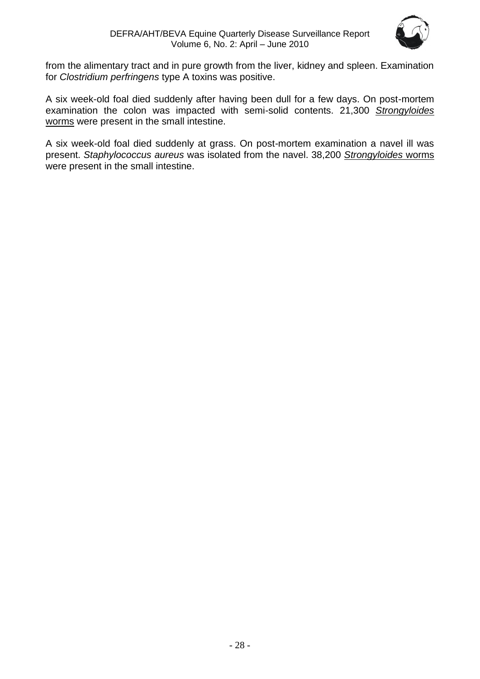

from the alimentary tract and in pure growth from the liver, kidney and spleen. Examination for *Clostridium perfringens* type A toxins was positive.

A six week-old foal died suddenly after having been dull for a few days. On post-mortem examination the colon was impacted with semi-solid contents. 21,300 *Strongyloides* worms were present in the small intestine.

A six week-old foal died suddenly at grass. On post-mortem examination a navel ill was present. *Staphylococcus aureus* was isolated from the navel. 38,200 *Strongyloides* worms were present in the small intestine.